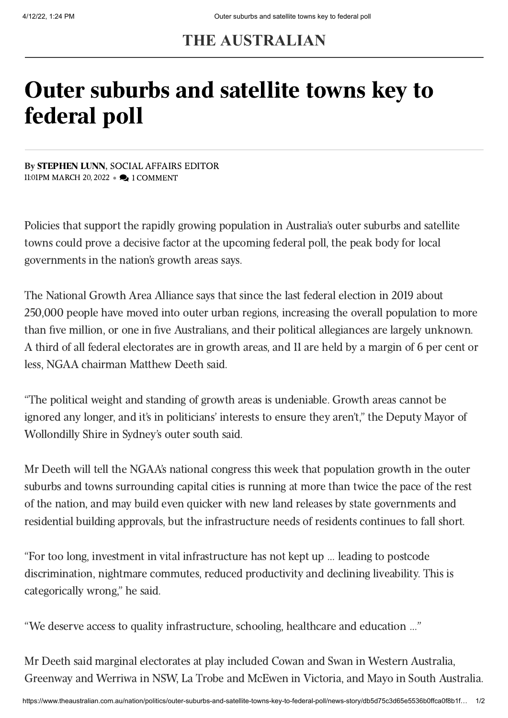## **THE AUSTRALIAN**

# Outer suburbs and satellite towns key to federal poll

By [STEPHEN LUNN,](https://www.theaustralian.com.au/author/Stephen+Lunn) SOCIAL AFFAIRS EDITOR 11:01PM MARCH 20, 2022 • 2 1 COMMENT

Policies that support the rapidly growing population in Australia's outer suburbs and satellite towns could prove a decisive factor at the upcoming federal poll, the peak body for local governments in the nation's growth areas says.

The National Growth Area Alliance says that since the last federal election in 2019 about 250,000 people have moved into outer urban regions, increasing the overall population to more than five million, or one in five Australians, and their political allegiances are largely unknown. A third of all federal electorates are in growth areas, and 11 are held by a margin of 6 per cent or less, NGAA chairman Matthew Deeth said.

"The political weight and standing of growth areas is undeniable. Growth areas cannot be ignored any longer, and it's in politicians' interests to ensure they aren't," the Deputy Mayor of Wollondilly Shire in Sydney's outer south said.

Mr Deeth will tell the NGAA's national congress this week that population growth in the outer suburbs and towns surrounding capital cities is running at more than twice the pace of the rest of the nation, and may build even quicker with new land releases by state governments and residential building approvals, but the infrastructure needs of residents continues to fall short.

"For too long, investment in vital infrastructure has not kept up … leading to postcode discrimination, nightmare commutes, reduced productivity and declining liveability. This is categorically wrong," he said.

"We deserve access to quality infrastructure, schooling, healthcare and education …"

Mr Deeth said marginal electorates at play included Cowan and Swan in Western Australia, Greenway and Werriwa in NSW, La Trobe and McEwen in Victoria, and Mayo in South Australia.